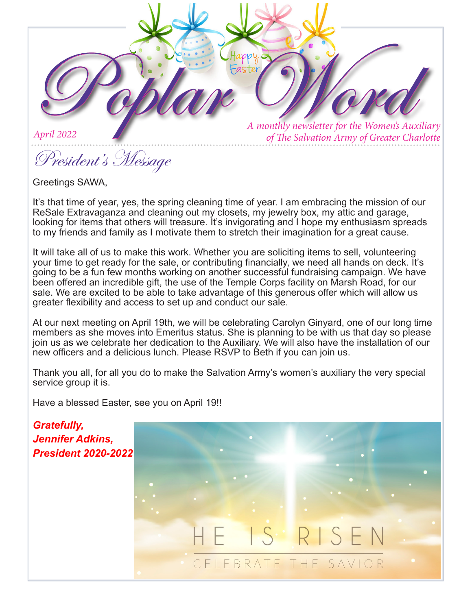

*of The Salvation Army of Greater Charlotte*

President's Message

Greetings SAWA,

It's that time of year, yes, the spring cleaning time of year. I am embracing the mission of our ReSale Extravaganza and cleaning out my closets, my jewelry box, my attic and garage, looking for items that others will treasure. It's invigorating and I hope my enthusiasm spreads to my friends and family as I motivate them to stretch their imagination for a great cause.

It will take all of us to make this work. Whether you are soliciting items to sell, volunteering your time to get ready for the sale, or contributing financially, we need all hands on deck. It's going to be a fun few months working on another successful fundraising campaign. We have been offered an incredible gift, the use of the Temple Corps facility on Marsh Road, for our sale. We are excited to be able to take advantage of this generous offer which will allow us greater flexibility and access to set up and conduct our sale.

At our next meeting on April 19th, we will be celebrating Carolyn Ginyard, one of our long time members as she moves into Emeritus status. She is planning to be with us that day so please join us as we celebrate her dedication to the Auxiliary. We will also have the installation of our new officers and a delicious lunch. Please RSVP to Beth if you can join us.

Thank you all, for all you do to make the Salvation Army's women's auxiliary the very special service group it is.

Have a blessed Easter, see you on April 19!!

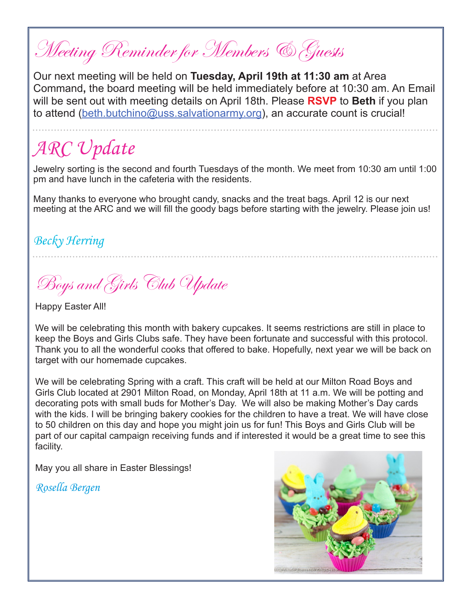Meeting Reminder for Members & Guests

Our next meeting will be held on **Tuesday, April 19th at 11:30 am** at Area Command**,** the board meeting will be held immediately before at 10:30 am. An Email will be sent out with meeting details on April 18th. Please **RSVP** to **Beth** if you plan to attend (beth.butchino@uss.salvationarmy.org), an accurate count is crucial!

## *ARC Update*

Jewelry sorting is the second and fourth Tuesdays of the month. We meet from 10:30 am until 1:00 pm and have lunch in the cafeteria with the residents.

Many thanks to everyone who brought candy, snacks and the treat bags. April 12 is our next meeting at the ARC and we will fill the goody bags before starting with the jewelry. Please join us!

## *Becky Herring*

Boys and Girls Club Update

Happy Easter All!

We will be celebrating this month with bakery cupcakes. It seems restrictions are still in place to keep the Boys and Girls Clubs safe. They have been fortunate and successful with this protocol. Thank you to all the wonderful cooks that offered to bake. Hopefully, next year we will be back on target with our homemade cupcakes.

We will be celebrating Spring with a craft. This craft will be held at our Milton Road Boys and Girls Club located at 2901 Milton Road, on Monday, April 18th at 11 a.m. We will be potting and decorating pots with small buds for Mother's Day. We will also be making Mother's Day cards with the kids. I will be bringing bakery cookies for the children to have a treat. We will have close to 50 children on this day and hope you might join us for fun! This Boys and Girls Club will be part of our capital campaign receiving funds and if interested it would be a great time to see this facility.

May you all share in Easter Blessings!

*Rosella Bergen*

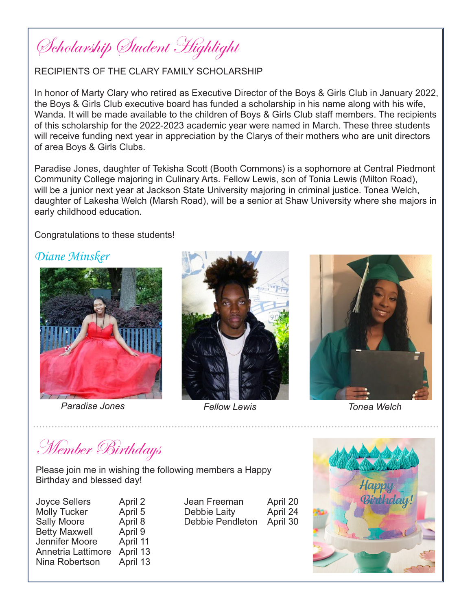Scholarship Student Highlight

#### RECIPIENTS OF THE CLARY FAMILY SCHOLARSHIP

In honor of Marty Clary who retired as Executive Director of the Boys & Girls Club in January 2022, the Boys & Girls Club executive board has funded a scholarship in his name along with his wife, Wanda. It will be made available to the children of Boys & Girls Club staff members. The recipients of this scholarship for the 2022-2023 academic year were named in March. These three students will receive funding next year in appreciation by the Clarys of their mothers who are unit directors of area Boys & Girls Clubs.

Paradise Jones, daughter of Tekisha Scott (Booth Commons) is a sophomore at Central Piedmont Community College majoring in Culinary Arts. Fellow Lewis, son of Tonia Lewis (Milton Road), will be a junior next year at Jackson State University majoring in criminal justice. Tonea Welch, daughter of Lakesha Welch (Marsh Road), will be a senior at Shaw University where she majors in early childhood education.

Congratulations to these students!

#### *Diane Minsker*



*Paradise Jones Fellow Lewis Tonea Welch*



April 20 April 24 April 30



Member Birthdays

Please join me in wishing the following members a Happy

| <b>Joyce Sellers</b> | April 2  |
|----------------------|----------|
| <b>Molly Tucker</b>  | April 5  |
| <b>Sally Moore</b>   | April 8  |
| <b>Betty Maxwell</b> | April 9  |
| Jennifer Moore       | April 11 |
| Annetria Lattimore   | April 13 |
| Nina Robertson       | April 13 |
|                      |          |

| Jean Freeman            |
|-------------------------|
| Debbie Laity            |
| <b>Debbie Pendletor</b> |
|                         |
|                         |